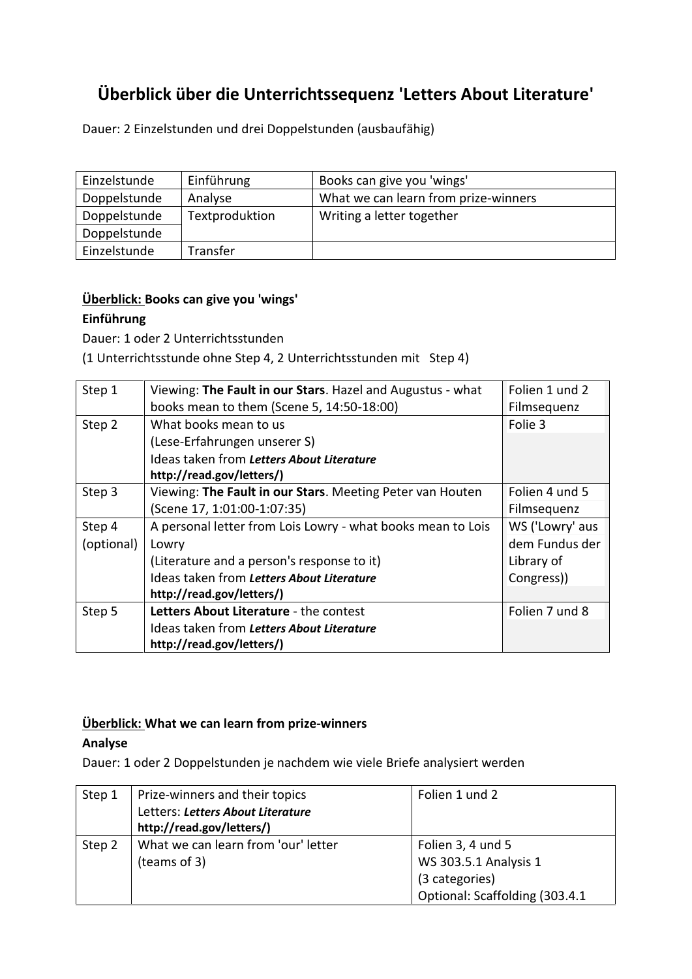# **Überblick über die Unterrichtssequenz 'Letters About Literature'**

Dauer: 2 Einzelstunden und drei Doppelstunden (ausbaufähig)

| Einzelstunde | Einführung     | Books can give you 'wings'           |
|--------------|----------------|--------------------------------------|
| Doppelstunde | Analyse        | What we can learn from prize-winners |
| Doppelstunde | Textproduktion | Writing a letter together            |
| Doppelstunde |                |                                      |
| Einzelstunde | Transfer       |                                      |

#### **Überblick: Books can give you 'wings'**

#### **Einführung**

Dauer: 1 oder 2 Unterrichtsstunden

(1 Unterrichtsstunde ohne Step 4, 2 Unterrichtsstunden mit Step 4)

| Step 1     | Viewing: The Fault in our Stars. Hazel and Augustus - what  | Folien 1 und 2  |
|------------|-------------------------------------------------------------|-----------------|
|            | books mean to them (Scene 5, 14:50-18:00)                   | Filmsequenz     |
| Step 2     | What books mean to us                                       | Folie 3         |
|            | (Lese-Erfahrungen unserer S)                                |                 |
|            | Ideas taken from Letters About Literature                   |                 |
|            | http://read.gov/letters/)                                   |                 |
| Step 3     | Viewing: The Fault in our Stars. Meeting Peter van Houten   | Folien 4 und 5  |
|            | (Scene 17, 1:01:00-1:07:35)                                 | Filmsequenz     |
| Step 4     | A personal letter from Lois Lowry - what books mean to Lois | WS ('Lowry' aus |
| (optional) | Lowry                                                       | dem Fundus der  |
|            | (Literature and a person's response to it)                  | Library of      |
|            | Ideas taken from Letters About Literature                   | Congress))      |
|            | http://read.gov/letters/)                                   |                 |
| Step 5     | Letters About Literature - the contest                      | Folien 7 und 8  |
|            | Ideas taken from Letters About Literature                   |                 |
|            | http://read.gov/letters/)                                   |                 |

### **Überblick: What we can learn from prize-winners**

#### **Analyse**

Dauer: 1 oder 2 Doppelstunden je nachdem wie viele Briefe analysiert werden

| Step 1 | Prize-winners and their topics      | Folien 1 und 2                 |
|--------|-------------------------------------|--------------------------------|
|        | Letters: Letters About Literature   |                                |
|        | http://read.gov/letters/)           |                                |
| Step 2 | What we can learn from 'our' letter | Folien 3, 4 und 5              |
|        | (teams of 3)                        | WS 303.5.1 Analysis 1          |
|        |                                     | (3 categories)                 |
|        |                                     | Optional: Scaffolding (303.4.1 |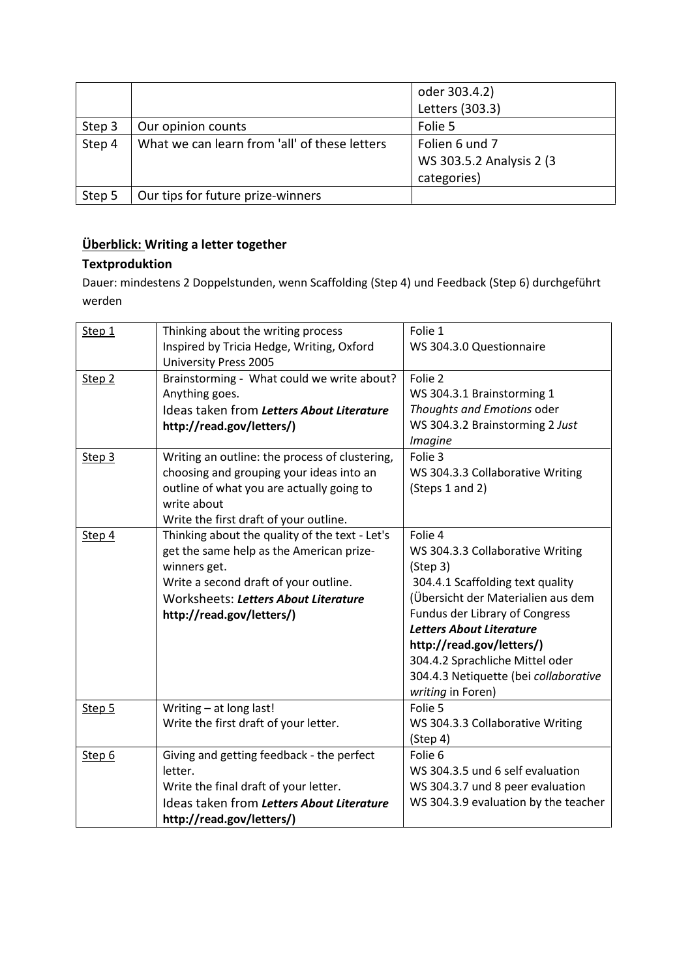|        |                                               | oder 303.4.2)             |
|--------|-----------------------------------------------|---------------------------|
|        |                                               | Letters (303.3)           |
| Step 3 | Our opinion counts                            | Folie 5                   |
| Step 4 | What we can learn from 'all' of these letters | Folien 6 und 7            |
|        |                                               | WS 303.5.2 Analysis 2 (3) |
|        |                                               | categories)               |
| Step 5 | Our tips for future prize-winners             |                           |

## **Überblick: Writing a letter together**

### **Textproduktion**

Dauer: mindestens 2 Doppelstunden, wenn Scaffolding (Step 4) und Feedback (Step 6) durchgeführt werden

| Step 1            | Thinking about the writing process<br>Inspired by Tricia Hedge, Writing, Oxford<br><b>University Press 2005</b>                                                                                                          | Folie 1<br>WS 304.3.0 Questionnaire                                                                                                                                                                                                                                                                                                  |
|-------------------|--------------------------------------------------------------------------------------------------------------------------------------------------------------------------------------------------------------------------|--------------------------------------------------------------------------------------------------------------------------------------------------------------------------------------------------------------------------------------------------------------------------------------------------------------------------------------|
| Step <sub>2</sub> | Brainstorming - What could we write about?<br>Anything goes.<br>Ideas taken from Letters About Literature<br>http://read.gov/letters/)                                                                                   | Folie 2<br>WS 304.3.1 Brainstorming 1<br>Thoughts and Emotions oder<br>WS 304.3.2 Brainstorming 2 Just<br><i>Imagine</i>                                                                                                                                                                                                             |
| Step 3            | Writing an outline: the process of clustering,<br>choosing and grouping your ideas into an<br>outline of what you are actually going to<br>write about<br>Write the first draft of your outline.                         | Folie 3<br>WS 304.3.3 Collaborative Writing<br>(Steps 1 and 2)                                                                                                                                                                                                                                                                       |
| Step 4            | Thinking about the quality of the text - Let's<br>get the same help as the American prize-<br>winners get.<br>Write a second draft of your outline.<br>Worksheets: Letters About Literature<br>http://read.gov/letters/) | Folie 4<br>WS 304.3.3 Collaborative Writing<br>(Step 3)<br>304.4.1 Scaffolding text quality<br>(Übersicht der Materialien aus dem<br>Fundus der Library of Congress<br><b>Letters About Literature</b><br>http://read.gov/letters/)<br>304.4.2 Sprachliche Mittel oder<br>304.4.3 Netiquette (bei collaborative<br>writing in Foren) |
| Step 5            | Writing - at long last!<br>Write the first draft of your letter.                                                                                                                                                         | Folie 5<br>WS 304.3.3 Collaborative Writing<br>(Step 4)                                                                                                                                                                                                                                                                              |
| Step 6            | Giving and getting feedback - the perfect<br>letter.<br>Write the final draft of your letter.<br>Ideas taken from Letters About Literature<br>http://read.gov/letters/)                                                  | Folie 6<br>WS 304.3.5 und 6 self evaluation<br>WS 304.3.7 und 8 peer evaluation<br>WS 304.3.9 evaluation by the teacher                                                                                                                                                                                                              |